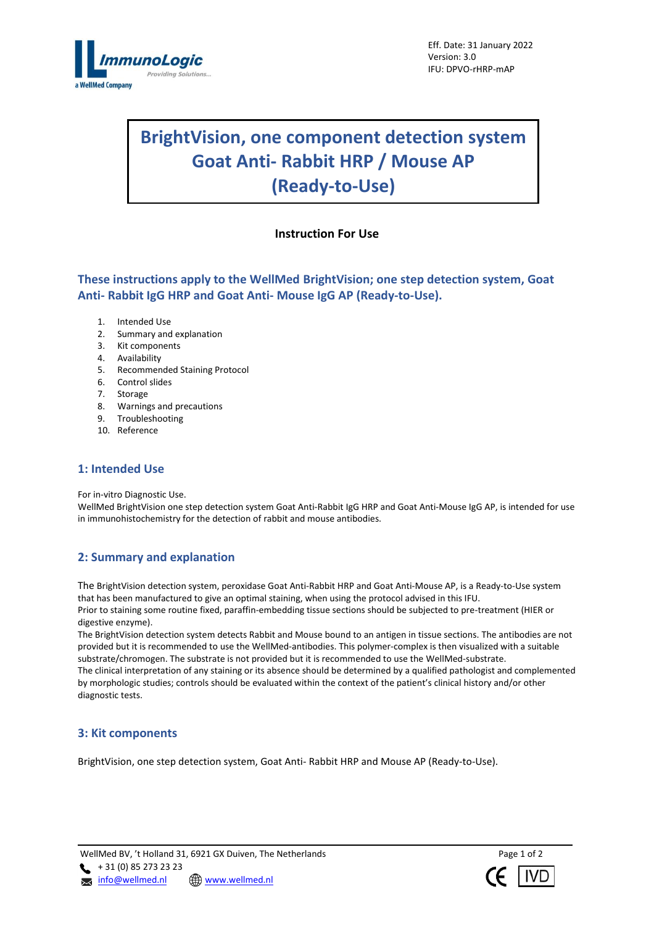

# **BrightVision, one component detection system Goat Anti- Rabbit HRP / Mouse AP (Ready-to-Use)**

# **Instruction For Use**

**These instructions apply to the WellMed BrightVision; one step detection system, Goat Anti- Rabbit IgG HRP and Goat Anti- Mouse IgG AP (Ready-to-Use).**

- 1. Intended Use
- 2. Summary and explanation
- 3. Kit components
- 4. Availability
- 5. Recommended Staining Protocol
- 6. Control slides
- 7. Storage
- 8. Warnings and precautions
- 9. Troubleshooting
- 10. Reference

## **1: Intended Use**

For in-vitro Diagnostic Use.

WellMed BrightVision one step detection system Goat Anti-Rabbit IgG HRP and Goat Anti-Mouse IgG AP, is intended for use in immunohistochemistry for the detection of rabbit and mouse antibodies.

# **2: Summary and explanation**

The BrightVision detection system, peroxidase Goat Anti-Rabbit HRP and Goat Anti-Mouse AP, is a Ready-to-Use system that has been manufactured to give an optimal staining, when using the protocol advised in this IFU. Prior to staining some routine fixed, paraffin-embedding tissue sections should be subjected to pre-treatment (HIER or digestive enzyme).

The BrightVision detection system detects Rabbit and Mouse bound to an antigen in tissue sections. The antibodies are not provided but it is recommended to use the WellMed-antibodies. This polymer-complex is then visualized with a suitable substrate/chromogen. The substrate is not provided but it is recommended to use the WellMed-substrate. The clinical interpretation of any staining or its absence should be determined by a qualified pathologist and complemented by morphologic studies; controls should be evaluated within the context of the patient's clinical history and/or other diagnostic tests.

## **3: Kit components**

BrightVision, one step detection system, Goat Anti- Rabbit HRP and Mouse AP (Ready-to-Use).